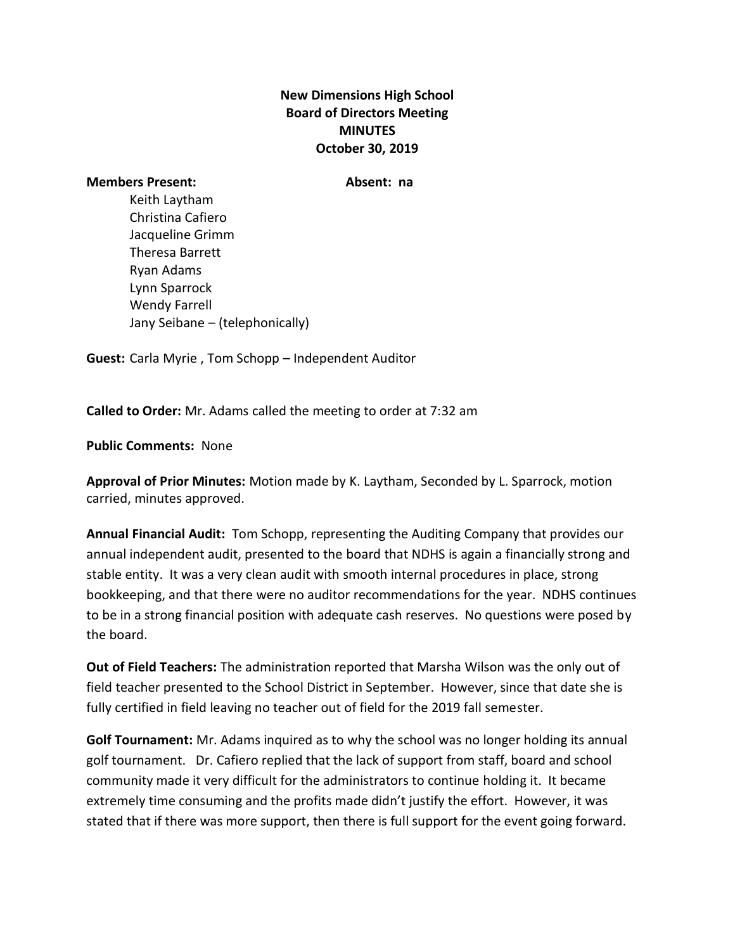## **New Dimensions High School Board of Directors Meeting MINUTES October 30, 2019**

## **Members Present: Absent: na**

Keith Laytham Christina Cafiero Jacqueline Grimm Theresa Barrett Ryan Adams Lynn Sparrock Wendy Farrell Jany Seibane – (telephonically)

**Guest:** Carla Myrie , Tom Schopp – Independent Auditor

**Called to Order:** Mr. Adams called the meeting to order at 7:32 am

**Public Comments:** None

**Approval of Prior Minutes:** Motion made by K. Laytham, Seconded by L. Sparrock, motion carried, minutes approved.

**Annual Financial Audit:** Tom Schopp, representing the Auditing Company that provides our annual independent audit, presented to the board that NDHS is again a financially strong and stable entity. It was a very clean audit with smooth internal procedures in place, strong bookkeeping, and that there were no auditor recommendations for the year. NDHS continues to be in a strong financial position with adequate cash reserves. No questions were posed by the board.

**Out of Field Teachers:** The administration reported that Marsha Wilson was the only out of field teacher presented to the School District in September. However, since that date she is fully certified in field leaving no teacher out of field for the 2019 fall semester.

**Golf Tournament:** Mr. Adams inquired as to why the school was no longer holding its annual golf tournament. Dr. Cafiero replied that the lack of support from staff, board and school community made it very difficult for the administrators to continue holding it. It became extremely time consuming and the profits made didn't justify the effort. However, it was stated that if there was more support, then there is full support for the event going forward.